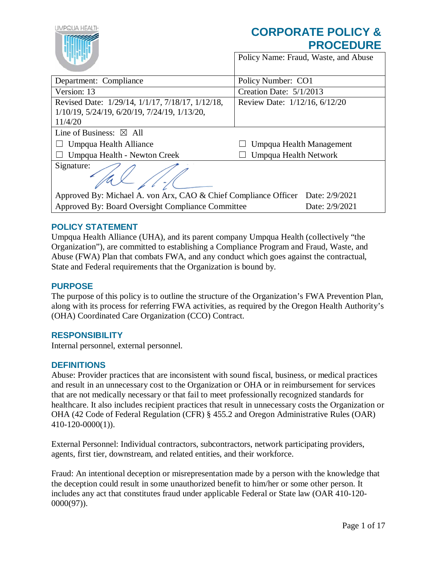| UMPQUA HEALTI                                                                  | <b>CORPORATE POLICY &amp;</b><br><b>PROCEDURE</b> |
|--------------------------------------------------------------------------------|---------------------------------------------------|
|                                                                                | Policy Name: Fraud, Waste, and Abuse              |
| Department: Compliance                                                         | Policy Number: CO1                                |
| Version: 13                                                                    | Creation Date: 5/1/2013                           |
| Revised Date: 1/29/14, 1/1/17, 7/18/17, 1/12/18,                               | Review Date: 1/12/16, 6/12/20                     |
| 1/10/19, 5/24/19, 6/20/19, 7/24/19, 1/13/20,                                   |                                                   |
| 11/4/20                                                                        |                                                   |
| Line of Business: $\boxtimes$ All                                              |                                                   |
| Umpqua Health Alliance                                                         | Umpqua Health Management                          |
| Umpqua Health - Newton Creek                                                   | Umpqua Health Network                             |
| Signature:                                                                     |                                                   |
| Approved By: Michael A. von Arx, CAO & Chief Compliance Officer Date: 2/9/2021 |                                                   |
| Approved By: Board Oversight Compliance Committee                              | Date: 2/9/2021                                    |

## **POLICY STATEMENT**

Umpqua Health Alliance (UHA), and its parent company Umpqua Health (collectively "the Organization"), are committed to establishing a Compliance Program and Fraud, Waste, and Abuse (FWA) Plan that combats FWA, and any conduct which goes against the contractual, State and Federal requirements that the Organization is bound by.

#### **PURPOSE**

The purpose of this policy is to outline the structure of the Organization's FWA Prevention Plan, along with its process for referring FWA activities, as required by the Oregon Health Authority's (OHA) Coordinated Care Organization (CCO) Contract.

### **RESPONSIBILITY**

Internal personnel, external personnel.

#### **DEFINITIONS**

Abuse: Provider practices that are inconsistent with sound fiscal, business, or medical practices and result in an unnecessary cost to the Organization or OHA or in reimbursement for services that are not medically necessary or that fail to meet professionally recognized standards for healthcare. It also includes recipient practices that result in unnecessary costs the Organization or OHA (42 Code of Federal Regulation (CFR) § 455.2 and Oregon Administrative Rules (OAR) 410-120-0000(1)).

External Personnel: Individual contractors, subcontractors, network participating providers, agents, first tier, downstream, and related entities, and their workforce.

Fraud: An intentional deception or misrepresentation made by a person with the knowledge that the deception could result in some unauthorized benefit to him/her or some other person. It includes any act that constitutes fraud under applicable Federal or State law (OAR 410-120- 0000(97)).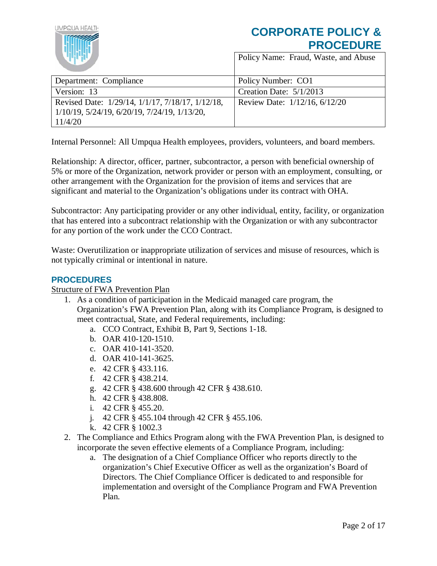

## **CORPORATE POLICY & PROCEDURE** Policy Name: Fraud, Waste, and Abuse

| <b>Contract Contract Contract</b>                                                                              |                               |
|----------------------------------------------------------------------------------------------------------------|-------------------------------|
| Department: Compliance                                                                                         | Policy Number: CO1            |
| Version: 13                                                                                                    | Creation Date: $5/1/2013$     |
| Revised Date: 1/29/14, 1/1/17, 7/18/17, 1/12/18,<br>$1/10/19$ , 5/24/19, 6/20/19, 7/24/19, 1/13/20,<br>11/4/20 | Review Date: 1/12/16, 6/12/20 |

Internal Personnel: All Umpqua Health employees, providers, volunteers, and board members.

Relationship: A director, officer, partner, subcontractor, a person with beneficial ownership of 5% or more of the Organization, network provider or person with an employment, consulting, or other arrangement with the Organization for the provision of items and services that are significant and material to the Organization's obligations under its contract with OHA.

Subcontractor: Any participating provider or any other individual, entity, facility, or organization that has entered into a subcontract relationship with the Organization or with any subcontractor for any portion of the work under the CCO Contract.

Waste: Overutilization or inappropriate utilization of services and misuse of resources, which is not typically criminal or intentional in nature.

## **PROCEDURES**

### Structure of FWA Prevention Plan

- 1. As a condition of participation in the Medicaid managed care program, the Organization's FWA Prevention Plan, along with its Compliance Program, is designed to meet contractual, State, and Federal requirements, including:
	- a. CCO Contract, Exhibit B, Part 9, Sections 1-18.
	- b. OAR 410-120-1510.
	- c. OAR 410-141-3520.
	- d. OAR 410-141-3625.
	- e. 42 CFR § 433.116.
	- f. 42 CFR § 438.214.
	- g. 42 CFR § 438.600 through 42 CFR § 438.610.
	- h. 42 CFR § 438.808.
	- i. 42 CFR § 455.20.
	- j. 42 CFR § 455.104 through 42 CFR § 455.106.
	- k. 42 CFR § 1002.3
- 2. The Compliance and Ethics Program along with the FWA Prevention Plan, is designed to incorporate the seven effective elements of a Compliance Program, including:
	- a. The designation of a Chief Compliance Officer who reports directly to the organization's Chief Executive Officer as well as the organization's Board of Directors. The Chief Compliance Officer is dedicated to and responsible for implementation and oversight of the Compliance Program and FWA Prevention Plan.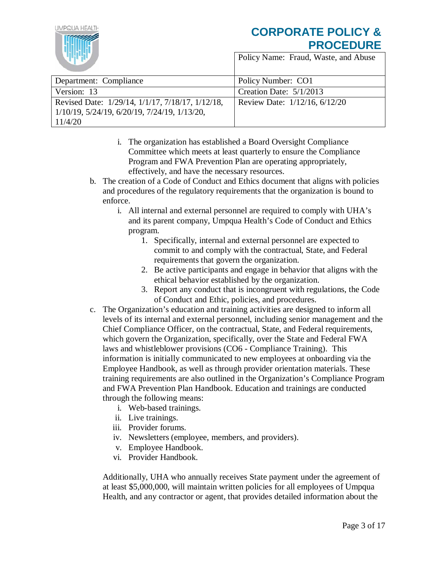

IMPOUA HEALTH

Policy Name: Fraud, Waste, and Abuse

| Department: Compliance                           | Policy Number: CO1            |
|--------------------------------------------------|-------------------------------|
| Version: 13                                      | Creation Date: $5/1/2013$     |
| Revised Date: 1/29/14, 1/1/17, 7/18/17, 1/12/18, | Review Date: 1/12/16, 6/12/20 |
| $1/10/19$ , 5/24/19, 6/20/19, 7/24/19, 1/13/20,  |                               |
| 11/4/20                                          |                               |

- i. The organization has established a Board Oversight Compliance Committee which meets at least quarterly to ensure the Compliance Program and FWA Prevention Plan are operating appropriately, effectively, and have the necessary resources.
- b. The creation of a Code of Conduct and Ethics document that aligns with policies and procedures of the regulatory requirements that the organization is bound to enforce.
	- i. All internal and external personnel are required to comply with UHA's and its parent company, Umpqua Health's Code of Conduct and Ethics program.
		- 1. Specifically, internal and external personnel are expected to commit to and comply with the contractual, State, and Federal requirements that govern the organization.
		- 2. Be active participants and engage in behavior that aligns with the ethical behavior established by the organization.
		- 3. Report any conduct that is incongruent with regulations, the Code of Conduct and Ethic, policies, and procedures.
- c. The Organization's education and training activities are designed to inform all levels of its internal and external personnel, including senior management and the Chief Compliance Officer, on the contractual, State, and Federal requirements, which govern the Organization, specifically, over the State and Federal FWA laws and whistleblower provisions (CO6 - Compliance Training). This information is initially communicated to new employees at onboarding via the Employee Handbook, as well as through provider orientation materials. These training requirements are also outlined in the Organization's Compliance Program and FWA Prevention Plan Handbook. Education and trainings are conducted through the following means:
	- i. Web-based trainings.
	- ii. Live trainings.
	- iii. Provider forums.
	- iv. Newsletters (employee, members, and providers).
	- v. Employee Handbook.
	- vi. Provider Handbook.

Additionally, UHA who annually receives State payment under the agreement of at least \$5,000,000, will maintain written policies for all employees of Umpqua Health, and any contractor or agent, that provides detailed information about the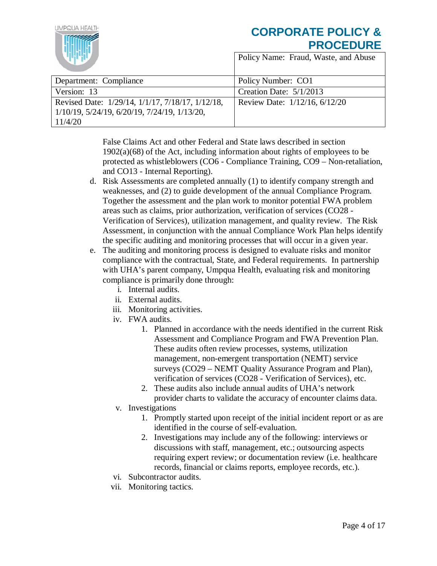

Policy Name: Fraud, Waste, and Abuse

| Department: Compliance                                      | Policy Number: CO1            |
|-------------------------------------------------------------|-------------------------------|
| Version: 13                                                 | Creation Date: 5/1/2013       |
| Revised Date: 1/29/14, 1/1/17, 7/18/17, 1/12/18,            | Review Date: 1/12/16, 6/12/20 |
| $1/10/19$ , $5/24/19$ , $6/20/19$ , $7/24/19$ , $1/13/20$ , |                               |
| 11/4/20                                                     |                               |

False Claims Act and other Federal and State laws described in section 1902(a)(68) of the Act, including information about rights of employees to be protected as whistleblowers (CO6 - Compliance Training, CO9 – Non-retaliation, and CO13 - Internal Reporting).

- d. Risk Assessments are completed annually (1) to identify company strength and weaknesses, and (2) to guide development of the annual Compliance Program. Together the assessment and the plan work to monitor potential FWA problem areas such as claims, prior authorization, verification of services (CO28 - Verification of Services), utilization management, and quality review. The Risk Assessment, in conjunction with the annual Compliance Work Plan helps identify the specific auditing and monitoring processes that will occur in a given year.
- e. The auditing and monitoring process is designed to evaluate risks and monitor compliance with the contractual, State, and Federal requirements. In partnership with UHA's parent company, Umpqua Health, evaluating risk and monitoring compliance is primarily done through:
	- i. Internal audits.
	- ii. External audits.
	- iii. Monitoring activities.
	- iv. FWA audits.
		- 1. Planned in accordance with the needs identified in the current Risk Assessment and Compliance Program and FWA Prevention Plan. These audits often review processes, systems, utilization management, non-emergent transportation (NEMT) service surveys (CO29 – NEMT Quality Assurance Program and Plan), verification of services (CO28 - Verification of Services), etc.
		- 2. These audits also include annual audits of UHA's network provider charts to validate the accuracy of encounter claims data.
	- v. Investigations
		- 1. Promptly started upon receipt of the initial incident report or as are identified in the course of self-evaluation.
		- 2. Investigations may include any of the following: interviews or discussions with staff, management, etc.; outsourcing aspects requiring expert review; or documentation review (i.e. healthcare records, financial or claims reports, employee records, etc.).
	- vi. Subcontractor audits.
	- vii. Monitoring tactics.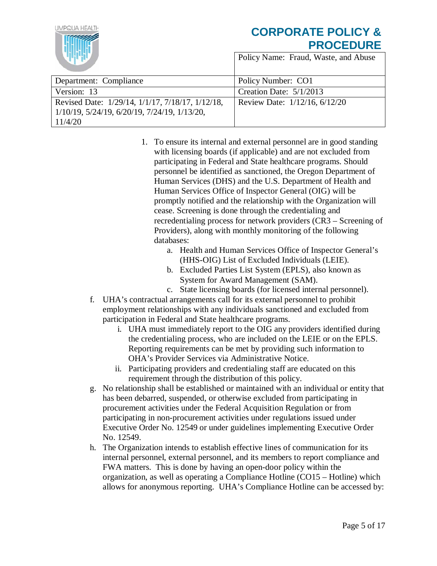## **IMPOUA HEALTH CORPORATE POLICY & PROCEDURE** Policy Name: Fraud, Waste, and Abuse Department: Compliance Policy Number: CO1 Version: 13 Creation Date: 5/1/2013 Revised Date: 1/29/14, 1/1/17, 7/18/17, 1/12/18, Review Date: 1/12/16, 6/12/20 1/10/19, 5/24/19, 6/20/19, 7/24/19, 1/13/20, 11/4/20

- 1. To ensure its internal and external personnel are in good standing with licensing boards (if applicable) and are not excluded from participating in Federal and State healthcare programs. Should personnel be identified as sanctioned, the Oregon Department of Human Services (DHS) and the U.S. Department of Health and Human Services Office of Inspector General (OIG) will be promptly notified and the relationship with the Organization will cease. Screening is done through the credentialing and recredentialing process for network providers (CR3 – Screening of Providers), along with monthly monitoring of the following databases:
	- a. Health and Human Services Office of Inspector General's (HHS-OIG) List of Excluded Individuals (LEIE).
	- b. Excluded Parties List System (EPLS), also known as System for Award Management (SAM).
	- c. State licensing boards (for licensed internal personnel).
- f. UHA's contractual arrangements call for its external personnel to prohibit employment relationships with any individuals sanctioned and excluded from participation in Federal and State healthcare programs.
	- i. UHA must immediately report to the OIG any providers identified during the credentialing process, who are included on the LEIE or on the EPLS. Reporting requirements can be met by providing such information to OHA's Provider Services via Administrative Notice.
	- ii. Participating providers and credentialing staff are educated on this requirement through the distribution of this policy.
- g. No relationship shall be established or maintained with an individual or entity that has been debarred, suspended, or otherwise excluded from participating in procurement activities under the Federal Acquisition Regulation or from participating in non-procurement activities under regulations issued under Executive Order No. 12549 or under guidelines implementing Executive Order No. 12549.
- h. The Organization intends to establish effective lines of communication for its internal personnel, external personnel, and its members to report compliance and FWA matters. This is done by having an open-door policy within the organization, as well as operating a Compliance Hotline (CO15 – Hotline) which allows for anonymous reporting. UHA's Compliance Hotline can be accessed by: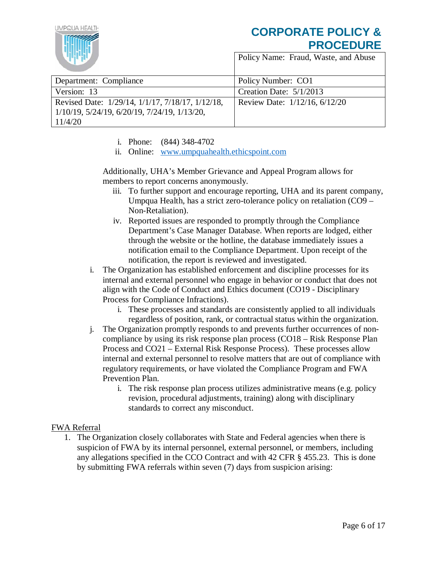

Policy Name: Fraud, Waste, and Abuse

| Department: Compliance                           | Policy Number: CO1            |
|--------------------------------------------------|-------------------------------|
| Version: 13                                      | Creation Date: $5/1/2013$     |
| Revised Date: 1/29/14, 1/1/17, 7/18/17, 1/12/18, | Review Date: 1/12/16, 6/12/20 |
| $1/10/19$ , 5/24/19, 6/20/19, 7/24/19, 1/13/20,  |                               |
| 11/4/20                                          |                               |

- i. Phone: (844) 348-4702
- ii. Online: [www.umpquahealth.ethicspoint.com](http://www.umpquahealth.ethicspoint.com/)

Additionally, UHA's Member Grievance and Appeal Program allows for members to report concerns anonymously.

- iii. To further support and encourage reporting, UHA and its parent company, Umpqua Health, has a strict zero-tolerance policy on retaliation (CO9 – Non-Retaliation).
- iv. Reported issues are responded to promptly through the Compliance Department's Case Manager Database. When reports are lodged, either through the website or the hotline, the database immediately issues a notification email to the Compliance Department. Upon receipt of the notification, the report is reviewed and investigated.
- i. The Organization has established enforcement and discipline processes for its internal and external personnel who engage in behavior or conduct that does not align with the Code of Conduct and Ethics document (CO19 - Disciplinary Process for Compliance Infractions).
	- i. These processes and standards are consistently applied to all individuals regardless of position, rank, or contractual status within the organization.
- j. The Organization promptly responds to and prevents further occurrences of noncompliance by using its risk response plan process (CO18 – Risk Response Plan Process and CO21 – External Risk Response Process). These processes allow internal and external personnel to resolve matters that are out of compliance with regulatory requirements, or have violated the Compliance Program and FWA Prevention Plan.
	- i. The risk response plan process utilizes administrative means (e.g. policy revision, procedural adjustments, training) along with disciplinary standards to correct any misconduct.

## FWA Referral

1. The Organization closely collaborates with State and Federal agencies when there is suspicion of FWA by its internal personnel, external personnel, or members, including any allegations specified in the CCO Contract and with 42 CFR § 455.23. This is done by submitting FWA referrals within seven (7) days from suspicion arising: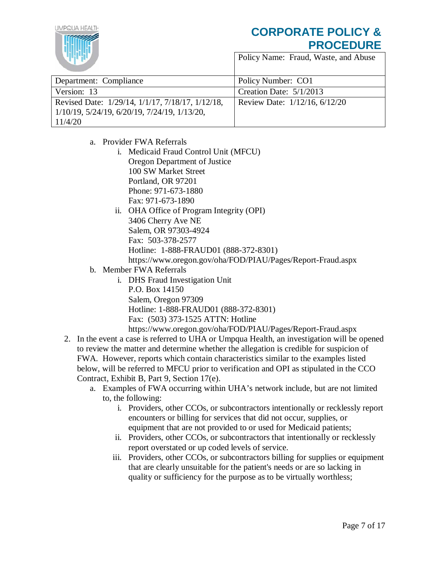IMPOUA HEALTH

| Department: Compliance                                      | Policy Number: CO1            |
|-------------------------------------------------------------|-------------------------------|
| Version: 13                                                 | Creation Date: $5/1/2013$     |
| Revised Date: 1/29/14, 1/1/17, 7/18/17, 1/12/18,            | Review Date: 1/12/16, 6/12/20 |
| $1/10/19$ , $5/24/19$ , $6/20/19$ , $7/24/19$ , $1/13/20$ , |                               |
| 11/4/20                                                     |                               |

- a. Provider FWA Referrals
	- i. Medicaid Fraud Control Unit (MFCU) Oregon Department of Justice 100 SW Market Street Portland, OR 97201 Phone: 971-673-1880 Fax: 971-673-1890
	- ii. OHA Office of Program Integrity (OPI) 3406 Cherry Ave NE Salem, OR 97303-4924 Fax: 503-378-2577 Hotline: 1-888-FRAUD01 (888-372-8301) https://www.oregon.gov/oha/FOD/PIAU/Pages/Report-Fraud.aspx
- b. Member FWA Referrals
	- i. DHS Fraud Investigation Unit P.O. Box 14150 Salem, Oregon 97309 Hotline: 1-888-FRAUD01 (888-372-8301) Fax: (503) 373-1525 ATTN: Hotline
- https://www.oregon.gov/oha/FOD/PIAU/Pages/Report-Fraud.aspx 2. In the event a case is referred to UHA or Umpqua Health, an investigation will be opened to review the matter and determine whether the allegation is credible for suspicion of FWA. However, reports which contain characteristics similar to the examples listed below, will be referred to MFCU prior to verification and OPI as stipulated in the CCO Contract, Exhibit B, Part 9, Section 17(e).
	- a. Examples of FWA occurring within UHA's network include, but are not limited to, the following:
		- i. Providers, other CCOs, or subcontractors intentionally or recklessly report encounters or billing for services that did not occur, supplies, or equipment that are not provided to or used for Medicaid patients;
		- ii. Providers, other CCOs, or subcontractors that intentionally or recklessly report overstated or up coded levels of service.
		- iii. Providers, other CCOs, or subcontractors billing for supplies or equipment that are clearly unsuitable for the patient's needs or are so lacking in quality or sufficiency for the purpose as to be virtually worthless;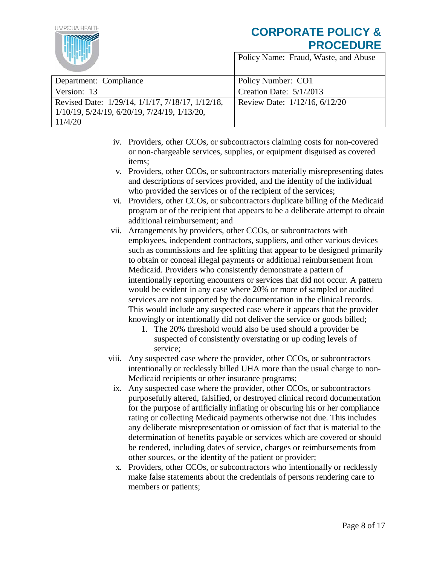

| Department: Compliance                           | Policy Number: CO1            |
|--------------------------------------------------|-------------------------------|
| Version: 13                                      | Creation Date: $5/1/2013$     |
| Revised Date: 1/29/14, 1/1/17, 7/18/17, 1/12/18, | Review Date: 1/12/16, 6/12/20 |
| 1/10/19, 5/24/19, 6/20/19, 7/24/19, 1/13/20,     |                               |
| 11/4/20                                          |                               |

- iv. Providers, other CCOs, or subcontractors claiming costs for non-covered or non-chargeable services, supplies, or equipment disguised as covered items;
- v. Providers, other CCOs, or subcontractors materially misrepresenting dates and descriptions of services provided, and the identity of the individual who provided the services or of the recipient of the services;
- vi. Providers, other CCOs, or subcontractors duplicate billing of the Medicaid program or of the recipient that appears to be a deliberate attempt to obtain additional reimbursement; and
- vii. Arrangements by providers, other CCOs, or subcontractors with employees, independent contractors, suppliers, and other various devices such as commissions and fee splitting that appear to be designed primarily to obtain or conceal illegal payments or additional reimbursement from Medicaid. Providers who consistently demonstrate a pattern of intentionally reporting encounters or services that did not occur. A pattern would be evident in any case where 20% or more of sampled or audited services are not supported by the documentation in the clinical records. This would include any suspected case where it appears that the provider knowingly or intentionally did not deliver the service or goods billed;
	- 1. The 20% threshold would also be used should a provider be suspected of consistently overstating or up coding levels of service;
- viii. Any suspected case where the provider, other CCOs, or subcontractors intentionally or recklessly billed UHA more than the usual charge to non-Medicaid recipients or other insurance programs;
- ix. Any suspected case where the provider, other CCOs, or subcontractors purposefully altered, falsified, or destroyed clinical record documentation for the purpose of artificially inflating or obscuring his or her compliance rating or collecting Medicaid payments otherwise not due. This includes any deliberate misrepresentation or omission of fact that is material to the determination of benefits payable or services which are covered or should be rendered, including dates of service, charges or reimbursements from other sources, or the identity of the patient or provider;
- x. Providers, other CCOs, or subcontractors who intentionally or recklessly make false statements about the credentials of persons rendering care to members or patients;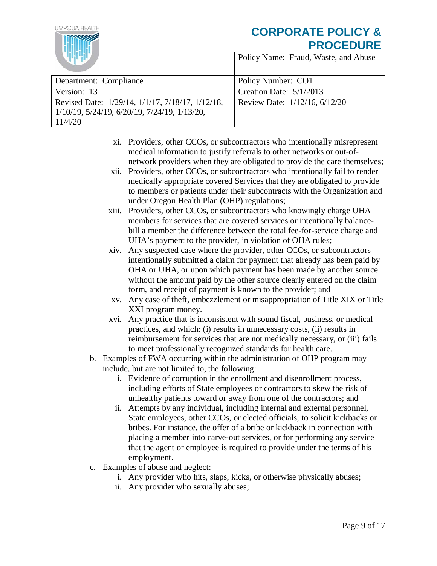

| Department: Compliance                           | Policy Number: CO1            |
|--------------------------------------------------|-------------------------------|
| Version: 13                                      | Creation Date: $5/1/2013$     |
| Revised Date: 1/29/14, 1/1/17, 7/18/17, 1/12/18, | Review Date: 1/12/16, 6/12/20 |
| $1/10/19$ , 5/24/19, 6/20/19, 7/24/19, 1/13/20,  |                               |
| 11/4/20                                          |                               |

- xi. Providers, other CCOs, or subcontractors who intentionally misrepresent medical information to justify referrals to other networks or out-ofnetwork providers when they are obligated to provide the care themselves;
- xii. Providers, other CCOs, or subcontractors who intentionally fail to render medically appropriate covered Services that they are obligated to provide to members or patients under their subcontracts with the Organization and under Oregon Health Plan (OHP) regulations;
- xiii. Providers, other CCOs, or subcontractors who knowingly charge UHA members for services that are covered services or intentionally balancebill a member the difference between the total fee-for-service charge and UHA's payment to the provider, in violation of OHA rules;
- xiv. Any suspected case where the provider, other CCOs, or subcontractors intentionally submitted a claim for payment that already has been paid by OHA or UHA, or upon which payment has been made by another source without the amount paid by the other source clearly entered on the claim form, and receipt of payment is known to the provider; and
- xv. Any case of theft, embezzlement or misappropriation of Title XIX or Title XXI program money.
- xvi. Any practice that is inconsistent with sound fiscal, business, or medical practices, and which: (i) results in unnecessary costs, (ii) results in reimbursement for services that are not medically necessary, or (iii) fails to meet professionally recognized standards for health care.
- b. Examples of FWA occurring within the administration of OHP program may include, but are not limited to, the following:
	- i. Evidence of corruption in the enrollment and disenrollment process, including efforts of State employees or contractors to skew the risk of unhealthy patients toward or away from one of the contractors; and
	- ii. Attempts by any individual, including internal and external personnel, State employees, other CCOs, or elected officials, to solicit kickbacks or bribes. For instance, the offer of a bribe or kickback in connection with placing a member into carve-out services, or for performing any service that the agent or employee is required to provide under the terms of his employment.
- c. Examples of abuse and neglect:
	- i. Any provider who hits, slaps, kicks, or otherwise physically abuses;
	- ii. Any provider who sexually abuses;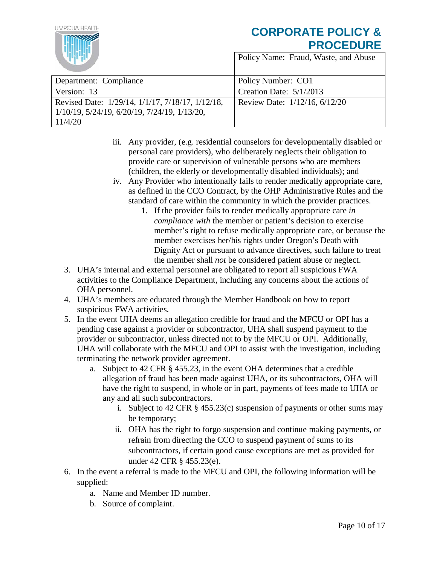IMPOUA HEALTH

| Department: Compliance                           | Policy Number: CO1            |
|--------------------------------------------------|-------------------------------|
| Version: 13                                      | Creation Date: $5/1/2013$     |
| Revised Date: 1/29/14, 1/1/17, 7/18/17, 1/12/18, | Review Date: 1/12/16, 6/12/20 |
| $1/10/19$ , 5/24/19, 6/20/19, 7/24/19, 1/13/20,  |                               |
| 11/4/20                                          |                               |

- iii. Any provider, (e.g. residential counselors for developmentally disabled or personal care providers), who deliberately neglects their obligation to provide care or supervision of vulnerable persons who are members (children, the elderly or developmentally disabled individuals); and
- iv. Any Provider who intentionally fails to render medically appropriate care, as defined in the CCO Contract, by the OHP Administrative Rules and the standard of care within the community in which the provider practices.
	- 1. If the provider fails to render medically appropriate care *in compliance with* the member or patient's decision to exercise member's right to refuse medically appropriate care, or because the member exercises her/his rights under Oregon's Death with Dignity Act or pursuant to advance directives, such failure to treat the member shall *not* be considered patient abuse or neglect.
- 3. UHA's internal and external personnel are obligated to report all suspicious FWA activities to the Compliance Department, including any concerns about the actions of OHA personnel.
- 4. UHA's members are educated through the Member Handbook on how to report suspicious FWA activities.
- 5. In the event UHA deems an allegation credible for fraud and the MFCU or OPI has a pending case against a provider or subcontractor, UHA shall suspend payment to the provider or subcontractor, unless directed not to by the MFCU or OPI. Additionally, UHA will collaborate with the MFCU and OPI to assist with the investigation, including terminating the network provider agreement.
	- a. Subject to 42 CFR § 455.23, in the event OHA determines that a credible allegation of fraud has been made against UHA, or its subcontractors, OHA will have the right to suspend, in whole or in part, payments of fees made to UHA or any and all such subcontractors.
		- i. Subject to 42 CFR § 455.23(c) suspension of payments or other sums may be temporary;
		- ii. OHA has the right to forgo suspension and continue making payments, or refrain from directing the CCO to suspend payment of sums to its subcontractors, if certain good cause exceptions are met as provided for under 42 CFR § 455.23(e).
- 6. In the event a referral is made to the MFCU and OPI, the following information will be supplied:
	- a. Name and Member ID number.
	- b. Source of complaint.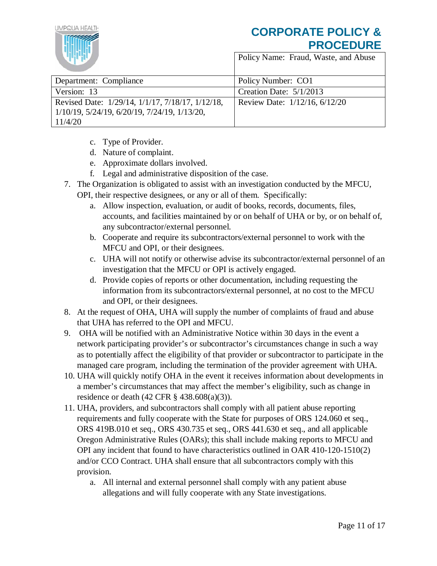

| Department: Compliance                                      | Policy Number: CO1            |
|-------------------------------------------------------------|-------------------------------|
| Version: 13                                                 | Creation Date: $5/1/2013$     |
| Revised Date: 1/29/14, 1/1/17, 7/18/17, 1/12/18,            | Review Date: 1/12/16, 6/12/20 |
| $1/10/19$ , $5/24/19$ , $6/20/19$ , $7/24/19$ , $1/13/20$ , |                               |
| 11/4/20                                                     |                               |

- c. Type of Provider.
- d. Nature of complaint.
- e. Approximate dollars involved.
- f. Legal and administrative disposition of the case.
- 7. The Organization is obligated to assist with an investigation conducted by the MFCU,
	- OPI, their respective designees, or any or all of them. Specifically:
		- a. Allow inspection, evaluation, or audit of books, records, documents, files, accounts, and facilities maintained by or on behalf of UHA or by, or on behalf of, any subcontractor/external personnel.
		- b. Cooperate and require its subcontractors/external personnel to work with the MFCU and OPI, or their designees.
		- c. UHA will not notify or otherwise advise its subcontractor/external personnel of an investigation that the MFCU or OPI is actively engaged.
		- d. Provide copies of reports or other documentation, including requesting the information from its subcontractors/external personnel, at no cost to the MFCU and OPI, or their designees.
- 8. At the request of OHA, UHA will supply the number of complaints of fraud and abuse that UHA has referred to the OPI and MFCU.
- 9. OHA will be notified with an Administrative Notice within 30 days in the event a network participating provider's or subcontractor's circumstances change in such a way as to potentially affect the eligibility of that provider or subcontractor to participate in the managed care program, including the termination of the provider agreement with UHA.
- 10. UHA will quickly notify OHA in the event it receives information about developments in a member's circumstances that may affect the member's eligibility, such as change in residence or death (42 CFR § 438.608(a)(3)).
- 11. UHA, providers, and subcontractors shall comply with all patient abuse reporting requirements and fully cooperate with the State for purposes of ORS 124.060 et seq., ORS 419B.010 et seq., ORS 430.735 et seq., ORS 441.630 et seq., and all applicable Oregon Administrative Rules (OARs); this shall include making reports to MFCU and OPI any incident that found to have characteristics outlined in OAR 410-120-1510(2) and/or CCO Contract. UHA shall ensure that all subcontractors comply with this provision.
	- a. All internal and external personnel shall comply with any patient abuse allegations and will fully cooperate with any State investigations.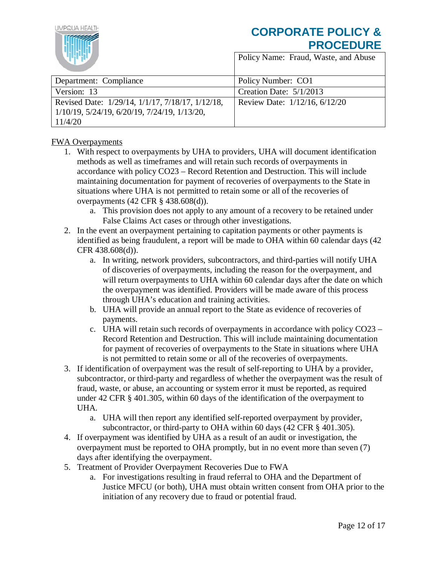

Policy Name: Fraud, Waste, and Abuse

| Department: Compliance                                      | Policy Number: CO1            |
|-------------------------------------------------------------|-------------------------------|
| Version: 13                                                 | Creation Date: $5/1/2013$     |
| Revised Date: 1/29/14, 1/1/17, 7/18/17, 1/12/18,            | Review Date: 1/12/16, 6/12/20 |
| $1/10/19$ , $5/24/19$ , $6/20/19$ , $7/24/19$ , $1/13/20$ , |                               |
| 11/4/20                                                     |                               |

## FWA Overpayments

- 1. With respect to overpayments by UHA to providers, UHA will document identification methods as well as timeframes and will retain such records of overpayments in accordance with policy CO23 – Record Retention and Destruction. This will include maintaining documentation for payment of recoveries of overpayments to the State in situations where UHA is not permitted to retain some or all of the recoveries of overpayments (42 CFR § 438.608(d)).
	- a. This provision does not apply to any amount of a recovery to be retained under False Claims Act cases or through other investigations.
- 2. In the event an overpayment pertaining to capitation payments or other payments is identified as being fraudulent, a report will be made to OHA within 60 calendar days (42 CFR 438.608(d)).
	- a. In writing, network providers, subcontractors, and third-parties will notify UHA of discoveries of overpayments, including the reason for the overpayment, and will return overpayments to UHA within 60 calendar days after the date on which the overpayment was identified. Providers will be made aware of this process through UHA's education and training activities.
	- b. UHA will provide an annual report to the State as evidence of recoveries of payments.
	- c. UHA will retain such records of overpayments in accordance with policy CO23 Record Retention and Destruction. This will include maintaining documentation for payment of recoveries of overpayments to the State in situations where UHA is not permitted to retain some or all of the recoveries of overpayments.
- 3. If identification of overpayment was the result of self-reporting to UHA by a provider, subcontractor, or third-party and regardless of whether the overpayment was the result of fraud, waste, or abuse, an accounting or system error it must be reported, as required under 42 CFR § 401.305, within 60 days of the identification of the overpayment to UHA.
	- a. UHA will then report any identified self-reported overpayment by provider, subcontractor, or third-party to OHA within 60 days (42 CFR § 401.305).
- 4. If overpayment was identified by UHA as a result of an audit or investigation, the overpayment must be reported to OHA promptly, but in no event more than seven (7) days after identifying the overpayment.
- 5. Treatment of Provider Overpayment Recoveries Due to FWA
	- a. For investigations resulting in fraud referral to OHA and the Department of Justice MFCU (or both), UHA must obtain written consent from OHA prior to the initiation of any recovery due to fraud or potential fraud.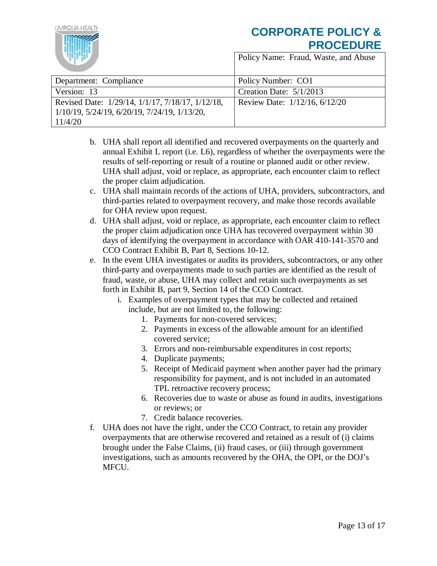

IMPOUA HEALTH

| Department: Compliance                                      | Policy Number: CO1            |
|-------------------------------------------------------------|-------------------------------|
| Version: 13                                                 | Creation Date: $5/1/2013$     |
| Revised Date: 1/29/14, 1/1/17, 7/18/17, 1/12/18,            | Review Date: 1/12/16, 6/12/20 |
| $1/10/19$ , $5/24/19$ , $6/20/19$ , $7/24/19$ , $1/13/20$ , |                               |
| 11/4/20                                                     |                               |

- b. UHA shall report all identified and recovered overpayments on the quarterly and annual Exhibit L report (i.e. L6), regardless of whether the overpayments were the results of self-reporting or result of a routine or planned audit or other review. UHA shall adjust, void or replace, as appropriate, each encounter claim to reflect the proper claim adjudication.
- c. UHA shall maintain records of the actions of UHA, providers, subcontractors, and third-parties related to overpayment recovery, and make those records available for OHA review upon request.
- d. UHA shall adjust, void or replace, as appropriate, each encounter claim to reflect the proper claim adjudication once UHA has recovered overpayment within 30 days of identifying the overpayment in accordance with OAR 410-141-3570 and CCO Contract Exhibit B, Part 8, Sections 10-12.
- e. In the event UHA investigates or audits its providers, subcontractors, or any other third-party and overpayments made to such parties are identified as the result of fraud, waste, or abuse, UHA may collect and retain such overpayments as set forth in Exhibit B, part 9, Section 14 of the CCO Contract.
	- i. Examples of overpayment types that may be collected and retained include, but are not limited to, the following:
		- 1. Payments for non-covered services;
		- 2. Payments in excess of the allowable amount for an identified covered service;
		- 3. Errors and non-reimbursable expenditures in cost reports;
		- 4. Duplicate payments;
		- 5. Receipt of Medicaid payment when another payer had the primary responsibility for payment, and is not included in an automated TPL retroactive recovery process;
		- 6. Recoveries due to waste or abuse as found in audits, investigations or reviews; or
		- 7. Credit balance recoveries.
- f. UHA does not have the right, under the CCO Contract, to retain any provider overpayments that are otherwise recovered and retained as a result of (i) claims brought under the False Claims, (ii) fraud cases, or (iii) through government investigations, such as amounts recovered by the OHA, the OPI, or the DOJ's MFCU.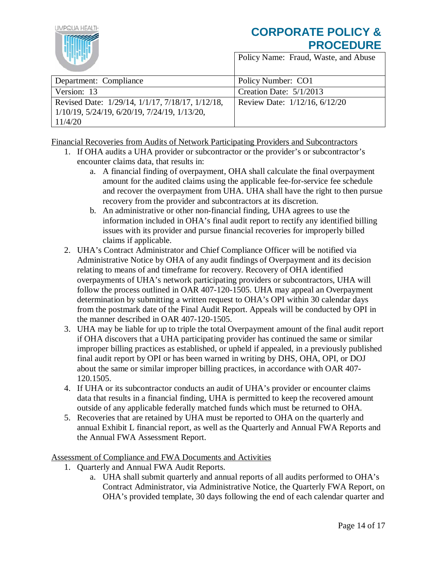

Policy Name: Fraud, Waste, and Abuse

| Department: Compliance                           | Policy Number: CO1            |
|--------------------------------------------------|-------------------------------|
| Version: 13                                      | Creation Date: 5/1/2013       |
| Revised Date: 1/29/14, 1/1/17, 7/18/17, 1/12/18, | Review Date: 1/12/16, 6/12/20 |
| $1/10/19$ , 5/24/19, 6/20/19, 7/24/19, 1/13/20,  |                               |
| 11/4/20                                          |                               |

Financial Recoveries from Audits of Network Participating Providers and Subcontractors

- 1. If OHA audits a UHA provider or subcontractor or the provider's or subcontractor's encounter claims data, that results in:
	- a. A financial finding of overpayment, OHA shall calculate the final overpayment amount for the audited claims using the applicable fee-for-service fee schedule and recover the overpayment from UHA. UHA shall have the right to then pursue recovery from the provider and subcontractors at its discretion.
	- b. An administrative or other non-financial finding, UHA agrees to use the information included in OHA's final audit report to rectify any identified billing issues with its provider and pursue financial recoveries for improperly billed claims if applicable.
- 2. UHA's Contract Administrator and Chief Compliance Officer will be notified via Administrative Notice by OHA of any audit findings of Overpayment and its decision relating to means of and timeframe for recovery. Recovery of OHA identified overpayments of UHA's network participating providers or subcontractors, UHA will follow the process outlined in OAR 407-120-1505. UHA may appeal an Overpayment determination by submitting a written request to OHA's OPI within 30 calendar days from the postmark date of the Final Audit Report. Appeals will be conducted by OPI in the manner described in OAR 407-120-1505.
- 3. UHA may be liable for up to triple the total Overpayment amount of the final audit report if OHA discovers that a UHA participating provider has continued the same or similar improper billing practices as established, or upheld if appealed, in a previously published final audit report by OPI or has been warned in writing by DHS, OHA, OPI, or DOJ about the same or similar improper billing practices, in accordance with OAR 407- 120.1505.
- 4. If UHA or its subcontractor conducts an audit of UHA's provider or encounter claims data that results in a financial finding, UHA is permitted to keep the recovered amount outside of any applicable federally matched funds which must be returned to OHA.
- 5. Recoveries that are retained by UHA must be reported to OHA on the quarterly and annual Exhibit L financial report, as well as the Quarterly and Annual FWA Reports and the Annual FWA Assessment Report.

Assessment of Compliance and FWA Documents and Activities

- 1. Quarterly and Annual FWA Audit Reports.
	- a. UHA shall submit quarterly and annual reports of all audits performed to OHA's Contract Administrator, via Administrative Notice, the Quarterly FWA Report, on OHA's provided template, 30 days following the end of each calendar quarter and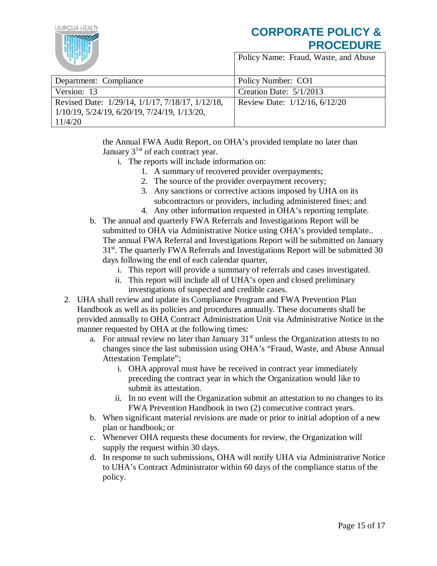

Policy Name: Fraud, Waste, and Abuse

| Department: Compliance                                      | Policy Number: CO1            |
|-------------------------------------------------------------|-------------------------------|
| Version: 13                                                 | Creation Date: $5/1/2013$     |
| Revised Date: 1/29/14, 1/1/17, 7/18/17, 1/12/18,            | Review Date: 1/12/16, 6/12/20 |
| $1/10/19$ , $5/24/19$ , $6/20/19$ , $7/24/19$ , $1/13/20$ , |                               |
| 11/4/20                                                     |                               |

the Annual FWA Audit Report, on OHA's provided template no later than January  $3^{1st}$  of each contract year.

- i. The reports will include information on:
	- 1. A summary of recovered provider overpayments;
	- 2. The source of the provider overpayment recovery;
	- 3. Any sanctions or corrective actions imposed by UHA on its subcontractors or providers, including administered fines; and
	- 4. Any other information requested in OHA's reporting template.
- b. The annual and quarterly FWA Referrals and Investigations Report will be submitted to OHA via Administrative Notice using OHA's provided template.. The annual FWA Referral and Investigations Report will be submitted on January 31<sup>st</sup>. The quarterly FWA Referrals and Investigations Report will be submitted 30 days following the end of each calendar quarter,
	- i. This report will provide a summary of referrals and cases investigated.
	- ii. This report will include all of UHA's open and closed preliminary investigations of suspected and credible cases.
- 2. UHA shall review and update its Compliance Program and FWA Prevention Plan Handbook as well as its policies and procedures annually. These documents shall be provided annually to OHA Contract Administration Unit via Administrative Notice in the manner requested by OHA at the following times:
	- a. For annual review no later than January  $31<sup>st</sup>$  unless the Organization attests to no changes since the last submission using OHA's "Fraud, Waste, and Abuse Annual Attestation Template";
		- i. OHA approval must have be received in contract year immediately preceding the contract year in which the Organization would like to submit its attestation.
		- ii. In no event will the Organization submit an attestation to no changes to its FWA Prevention Handbook in two (2) consecutive contract years.
	- b. When significant material revisions are made or prior to initial adoption of a new plan or handbook; or
	- c. Whenever OHA requests these documents for review, the Organization will supply the request within 30 days.
	- d. In response to such submissions, OHA will notify UHA via Administrative Notice to UHA's Contract Administrator within 60 days of the compliance status of the policy.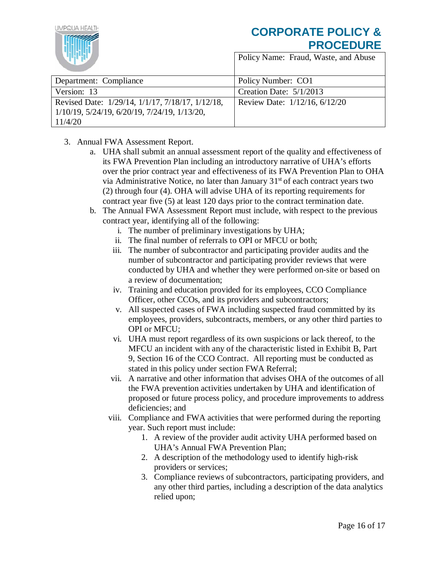

| Department: Compliance                                      | Policy Number: CO1            |
|-------------------------------------------------------------|-------------------------------|
| Version: 13                                                 | Creation Date: $5/1/2013$     |
| Revised Date: 1/29/14, 1/1/17, 7/18/17, 1/12/18,            | Review Date: 1/12/16, 6/12/20 |
| $1/10/19$ , $5/24/19$ , $6/20/19$ , $7/24/19$ , $1/13/20$ , |                               |
| 11/4/20                                                     |                               |

- 3. Annual FWA Assessment Report.
	- a. UHA shall submit an annual assessment report of the quality and effectiveness of its FWA Prevention Plan including an introductory narrative of UHA's efforts over the prior contract year and effectiveness of its FWA Prevention Plan to OHA via Administrative Notice, no later than January  $31<sup>st</sup>$  of each contract years two (2) through four (4). OHA will advise UHA of its reporting requirements for contract year five (5) at least 120 days prior to the contract termination date.
	- b. The Annual FWA Assessment Report must include, with respect to the previous contract year, identifying all of the following:
		- i. The number of preliminary investigations by UHA;
		- ii. The final number of referrals to OPI or MFCU or both;
		- iii. The number of subcontractor and participating provider audits and the number of subcontractor and participating provider reviews that were conducted by UHA and whether they were performed on-site or based on a review of documentation;
		- iv. Training and education provided for its employees, CCO Compliance Officer, other CCOs, and its providers and subcontractors;
		- v. All suspected cases of FWA including suspected fraud committed by its employees, providers, subcontracts, members, or any other third parties to OPI or MFCU;
		- vi. UHA must report regardless of its own suspicions or lack thereof, to the MFCU an incident with any of the characteristic listed in Exhibit B, Part 9, Section 16 of the CCO Contract. All reporting must be conducted as stated in this policy under section FWA Referral;
		- vii. A narrative and other information that advises OHA of the outcomes of all the FWA prevention activities undertaken by UHA and identification of proposed or future process policy, and procedure improvements to address deficiencies; and
		- viii. Compliance and FWA activities that were performed during the reporting year. Such report must include:
			- 1. A review of the provider audit activity UHA performed based on UHA's Annual FWA Prevention Plan;
			- 2. A description of the methodology used to identify high-risk providers or services;
			- 3. Compliance reviews of subcontractors, participating providers, and any other third parties, including a description of the data analytics relied upon;